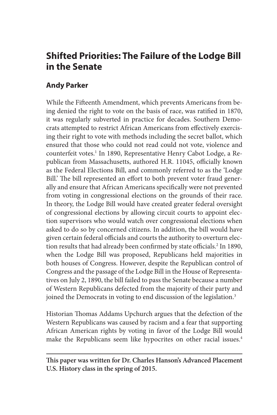# **Shifted Priorities: The Failure of the Lodge Bill in the Senate**

# **Andy Parker**

While the Fifteenth Amendment, which prevents Americans from being denied the right to vote on the basis of race, was ratified in 1870, it was regularly subverted in practice for decades. Southern Democrats attempted to restrict African Americans from effectively exercising their right to vote with methods including the secret ballot, which ensured that those who could not read could not vote, violence and counterfeit votes.<sup>1</sup> In 1890, Representative Henry Cabot Lodge, a Republican from Massachusetts, authored H.R. 11045, officially known as the Federal Elections Bill, and commonly referred to as the 'Lodge Bill.' The bill represented an effort to both prevent voter fraud generally and ensure that African Americans specifically were not prevented from voting in congressional elections on the grounds of their race. In theory, the Lodge Bill would have created greater federal oversight of congressional elections by allowing circuit courts to appoint election supervisors who would watch over congressional elections when asked to do so by concerned citizens. In addition, the bill would have given certain federal officials and courts the authority to overturn election results that had already been confirmed by state officials.<sup>2</sup> In 1890, when the Lodge Bill was proposed, Republicans held majorities in both houses of Congress. However, despite the Republican control of Congress and the passage of the Lodge Bill in the House of Representatives on July 2, 1890, the bill failed to pass the Senate because a number of Western Republicans defected from the majority of their party and joined the Democrats in voting to end discussion of the legislation.<sup>3</sup>

Historian Thomas Addams Upchurch argues that the defection of the Western Republicans was caused by racism and a fear that supporting African American rights by voting in favor of the Lodge Bill would make the Republicans seem like hypocrites on other racial issues.<sup>4</sup>

**This paper was written for Dr. Charles Hanson's Advanced Placement U.S. History class in the spring of 2015.**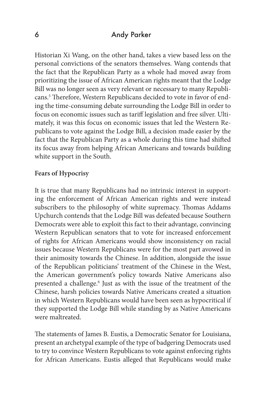Historian Xi Wang, on the other hand, takes a view based less on the personal convictions of the senators themselves. Wang contends that the fact that the Republican Party as a whole had moved away from prioritizing the issue of African American rights meant that the Lodge Bill was no longer seen as very relevant or necessary to many Republicans.<sup>5</sup> Therefore, Western Republicans decided to vote in favor of ending the time-consuming debate surrounding the Lodge Bill in order to focus on economic issues such as tariff legislation and free silver. Ultimately, it was this focus on economic issues that led the Western Republicans to vote against the Lodge Bill, a decision made easier by the fact that the Republican Party as a whole during this time had shifted its focus away from helping African Americans and towards building white support in the South.

#### **Fears of Hypocrisy**

It is true that many Republicans had no intrinsic interest in supporting the enforcement of African American rights and were instead subscribers to the philosophy of white supremacy. Thomas Addams Upchurch contends that the Lodge Bill was defeated because Southern Democrats were able to exploit this fact to their advantage, convincing Western Republican senators that to vote for increased enforcement of rights for African Americans would show inconsistency on racial issues because Western Republicans were for the most part avowed in their animosity towards the Chinese. In addition, alongside the issue of the Republican politicians' treatment of the Chinese in the West, the American government's policy towards Native Americans also presented a challenge.<sup>6</sup> Just as with the issue of the treatment of the Chinese, harsh policies towards Native Americans created a situation in which Western Republicans would have been seen as hypocritical if they supported the Lodge Bill while standing by as Native Americans were maltreated.

The statements of James B. Eustis, a Democratic Senator for Louisiana, present an archetypal example of the type of badgering Democrats used to try to convince Western Republicans to vote against enforcing rights for African Americans. Eustis alleged that Republicans would make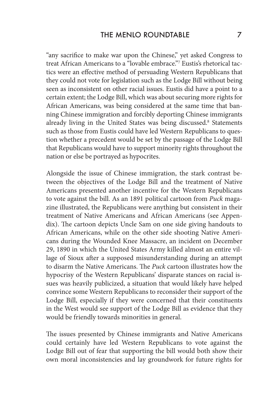"any sacrifice to make war upon the Chinese," yet asked Congress to treat African Americans to a "lovable embrace."7 Eustis's rhetorical tactics were an effective method of persuading Western Republicans that they could not vote for legislation such as the Lodge Bill without being seen as inconsistent on other racial issues. Eustis did have a point to a certain extent; the Lodge Bill, which was about securing more rights for African Americans, was being considered at the same time that banning Chinese immigration and forcibly deporting Chinese immigrants already living in the United States was being discussed.<sup>8</sup> Statements such as those from Eustis could have led Western Republicans to question whether a precedent would be set by the passage of the Lodge Bill that Republicans would have to support minority rights throughout the nation or else be portrayed as hypocrites.

Alongside the issue of Chinese immigration, the stark contrast between the objectives of the Lodge Bill and the treatment of Native Americans presented another incentive for the Western Republicans to vote against the bill. As an 1891 political cartoon from *Puck* magazine illustrated, the Republicans were anything but consistent in their treatment of Native Americans and African Americans (see Appendix). The cartoon depicts Uncle Sam on one side giving handouts to African Americans, while on the other side shooting Native Americans during the Wounded Knee Massacre, an incident on December 29, 1890 in which the United States Army killed almost an entire village of Sioux after a supposed misunderstanding during an attempt to disarm the Native Americans. The *Puck* cartoon illustrates how the hypocrisy of the Western Republicans' disparate stances on racial issues was heavily publicized, a situation that would likely have helped convince some Western Republicans to reconsider their support of the Lodge Bill, especially if they were concerned that their constituents in the West would see support of the Lodge Bill as evidence that they would be friendly towards minorities in general.

The issues presented by Chinese immigrants and Native Americans could certainly have led Western Republicans to vote against the Lodge Bill out of fear that supporting the bill would both show their own moral inconsistencies and lay groundwork for future rights for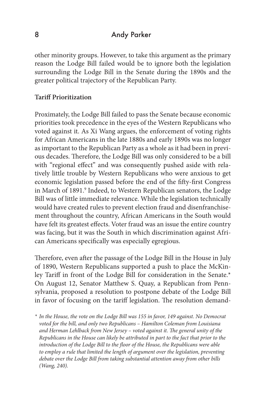other minority groups. However, to take this argument as the primary reason the Lodge Bill failed would be to ignore both the legislation surrounding the Lodge Bill in the Senate during the 1890s and the greater political trajectory of the Republican Party.

#### **Tariff Prioritization**

Proximately, the Lodge Bill failed to pass the Senate because economic priorities took precedence in the eyes of the Western Republicans who voted against it. As Xi Wang argues, the enforcement of voting rights for African Americans in the late 1880s and early 1890s was no longer as important to the Republican Party as a whole as it had been in previous decades. Therefore, the Lodge Bill was only considered to be a bill with "regional effect" and was consequently pushed aside with relatively little trouble by Western Republicans who were anxious to get economic legislation passed before the end of the fifty-first Congress in March of 1891.<sup>9</sup> Indeed, to Western Republican senators, the Lodge Bill was of little immediate relevance. While the legislation technically would have created rules to prevent election fraud and disenfranchisement throughout the country, African Americans in the South would have felt its greatest effects. Voter fraud was an issue the entire country was facing, but it was the South in which discrimination against African Americans specifically was especially egregious.

Therefore, even after the passage of the Lodge Bill in the House in July of 1890, Western Republicans supported a push to place the McKinley Tariff in front of the Lodge Bill for consideration in the Senate.\* On August 12, Senator Matthew S. Quay, a Republican from Pennsylvania, proposed a resolution to postpone debate of the Lodge Bill in favor of focusing on the tariff legislation. The resolution demand-

*\* In the House, the vote on the Lodge Bill was 155 in favor, 149 against. No Democrat voted for the bill, and only two Republicans – Hamilton Coleman from Louisiana and Herman Lehlback from New Jersey – voted against it. The general unity of the Republicans in the House can likely be attributed in part to the fact that prior to the introduction of the Lodge Bill to the floor of the House, the Republicans were able to employ a rule that limited the length of argument over the legislation, preventing debate over the Lodge Bill from taking substantial attention away from other bills (Wang, 240).*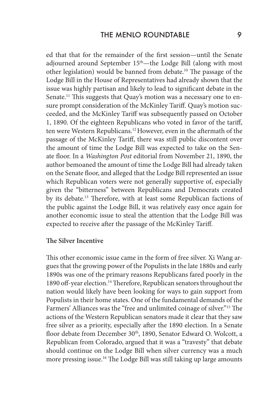ed that that for the remainder of the first session—until the Senate adjourned around September  $15<sup>th</sup>$ —the Lodge Bill (along with most other legislation) would be banned from debate.<sup>10</sup> The passage of the Lodge Bill in the House of Representatives had already shown that the issue was highly partisan and likely to lead to significant debate in the Senate.<sup>11</sup> This suggests that Quay's motion was a necessary one to ensure prompt consideration of the McKinley Tariff. Quay's motion succeeded, and the McKinley Tariff was subsequently passed on October 1, 1890. Of the eighteen Republicans who voted in favor of the tariff, ten were Western Republicans.<sup>12</sup> However, even in the aftermath of the passage of the McKinley Tariff, there was still public discontent over the amount of time the Lodge Bill was expected to take on the Senate floor. In a *Washington Post* editorial from November 21, 1890, the author bemoaned the amount of time the Lodge Bill had already taken on the Senate floor, and alleged that the Lodge Bill represented an issue which Republican voters were not generally supportive of, especially given the "bitterness" between Republicans and Democrats created by its debate.13 Therefore, with at least some Republican factions of the public against the Lodge Bill, it was relatively easy once again for another economic issue to steal the attention that the Lodge Bill was expected to receive after the passage of the McKinley Tariff.

#### **The Silver Incentive**

This other economic issue came in the form of free silver. Xi Wang argues that the growing power of the Populists in the late 1880s and early 1890s was one of the primary reasons Republicans fared poorly in the 1890 off-year election.<sup>14</sup> Therefore, Republican senators throughout the nation would likely have been looking for ways to gain support from Populists in their home states. One of the fundamental demands of the Farmers' Alliances was the "free and unlimited coinage of silver."15 The actions of the Western Republican senators made it clear that they saw free silver as a priority, especially after the 1890 election. In a Senate floor debate from December 30<sup>th</sup>, 1890, Senator Edward O. Wolcott, a Republican from Colorado, argued that it was a "travesty" that debate should continue on the Lodge Bill when silver currency was a much more pressing issue.<sup>16</sup> The Lodge Bill was still taking up large amounts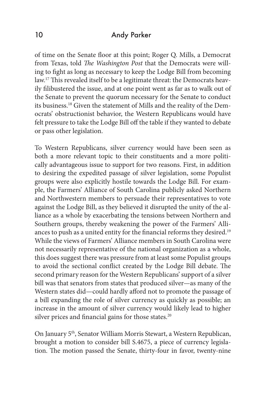of time on the Senate floor at this point; Roger Q. Mills, a Democrat from Texas, told *The Washington Post* that the Democrats were willing to fight as long as necessary to keep the Lodge Bill from becoming law.17 This revealed itself to be a legitimate threat: the Democrats heavily filibustered the issue, and at one point went as far as to walk out of the Senate to prevent the quorum necessary for the Senate to conduct its business.18 Given the statement of Mills and the reality of the Democrats' obstructionist behavior, the Western Republicans would have felt pressure to take the Lodge Bill off the table if they wanted to debate or pass other legislation.

To Western Republicans, silver currency would have been seen as both a more relevant topic to their constituents and a more politically advantageous issue to support for two reasons. First, in addition to desiring the expedited passage of silver legislation, some Populist groups were also explicitly hostile towards the Lodge Bill. For example, the Farmers' Alliance of South Carolina publicly asked Northern and Northwestern members to persuade their representatives to vote against the Lodge Bill, as they believed it disrupted the unity of the alliance as a whole by exacerbating the tensions between Northern and Southern groups, thereby weakening the power of the Farmers' Alliances to push as a united entity for the financial reforms they desired.<sup>19</sup> While the views of Farmers' Alliance members in South Carolina were not necessarily representative of the national organization as a whole, this does suggest there was pressure from at least some Populist groups to avoid the sectional conflict created by the Lodge Bill debate. The second primary reason for the Western Republicans' support of a silver bill was that senators from states that produced silver—as many of the Western states did—could hardly afford not to promote the passage of a bill expanding the role of silver currency as quickly as possible; an increase in the amount of silver currency would likely lead to higher silver prices and financial gains for those states.<sup>20</sup>

On January 5th, Senator William Morris Stewart, a Western Republican, brought a motion to consider bill S.4675, a piece of currency legislation. The motion passed the Senate, thirty-four in favor, twenty-nine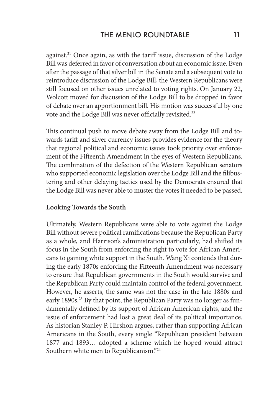against.21 Once again, as with the tariff issue, discussion of the Lodge Bill was deferred in favor of conversation about an economic issue. Even after the passage of that silver bill in the Senate and a subsequent vote to reintroduce discussion of the Lodge Bill, the Western Republicans were still focused on other issues unrelated to voting rights. On January 22, Wolcott moved for discussion of the Lodge Bill to be dropped in favor of debate over an apportionment bill. His motion was successful by one vote and the Lodge Bill was never officially revisited.<sup>22</sup>

This continual push to move debate away from the Lodge Bill and towards tariff and silver currency issues provides evidence for the theory that regional political and economic issues took priority over enforcement of the Fifteenth Amendment in the eyes of Western Republicans. The combination of the defection of the Western Republican senators who supported economic legislation over the Lodge Bill and the filibustering and other delaying tactics used by the Democrats ensured that the Lodge Bill was never able to muster the votes it needed to be passed.

#### **Looking Towards the South**

Ultimately, Western Republicans were able to vote against the Lodge Bill without severe political ramifications because the Republican Party as a whole, and Harrison's administration particularly, had shifted its focus in the South from enforcing the right to vote for African Americans to gaining white support in the South. Wang Xi contends that during the early 1870s enforcing the Fifteenth Amendment was necessary to ensure that Republican governments in the South would survive and the Republican Party could maintain control of the federal government. However, he asserts, the same was not the case in the late 1880s and early 1890s.<sup>23</sup> By that point, the Republican Party was no longer as fundamentally defined by its support of African American rights, and the issue of enforcement had lost a great deal of its political importance. As historian Stanley P. Hirshon argues, rather than supporting African Americans in the South, every single "Republican president between 1877 and 1893… adopted a scheme which he hoped would attract Southern white men to Republicanism."24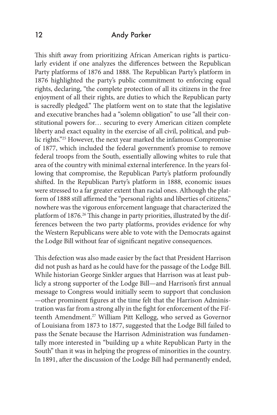This shift away from prioritizing African American rights is particularly evident if one analyzes the differences between the Republican Party platforms of 1876 and 1888. The Republican Party's platform in 1876 highlighted the party's public commitment to enforcing equal rights, declaring, "the complete protection of all its citizens in the free enjoyment of all their rights, are duties to which the Republican party is sacredly pledged." The platform went on to state that the legislative and executive branches had a "solemn obligation" to use "all their constitutional powers for… securing to every American citizen complete liberty and exact equality in the exercise of all civil, political, and public rights."25 However, the next year marked the infamous Compromise of 1877, which included the federal government's promise to remove federal troops from the South, essentially allowing whites to rule that area of the country with minimal external interference. In the years following that compromise, the Republican Party's platform profoundly shifted. In the Republican Party's platform in 1888, economic issues were stressed to a far greater extent than racial ones. Although the platform of 1888 still affirmed the "personal rights and liberties of citizens," nowhere was the vigorous enforcement language that characterized the platform of 1876.<sup>26</sup> This change in party priorities, illustrated by the differences between the two party platforms, provides evidence for why the Western Republicans were able to vote with the Democrats against the Lodge Bill without fear of significant negative consequences.

This defection was also made easier by the fact that President Harrison did not push as hard as he could have for the passage of the Lodge Bill. While historian George Sinkler argues that Harrison was at least publicly a strong supporter of the Lodge Bill—and Harrison's first annual message to Congress would initially seem to support that conclusion —other prominent figures at the time felt that the Harrison Administration was far from a strong ally in the fight for enforcement of the Fifteenth Amendment.<sup>27</sup> William Pitt Kellogg, who served as Governor of Louisiana from 1873 to 1877, suggested that the Lodge Bill failed to pass the Senate because the Harrison Administration was fundamentally more interested in "building up a white Republican Party in the South" than it was in helping the progress of minorities in the country. In 1891, after the discussion of the Lodge Bill had permanently ended,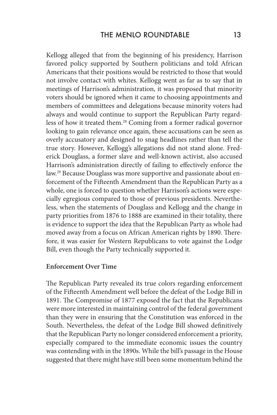Kellogg alleged that from the beginning of his presidency, Harrison favored policy supported by Southern politicians and told African Americans that their positions would be restricted to those that would not involve contact with whites. Kellogg went as far as to say that in meetings of Harrison's administration, it was proposed that minority voters should be ignored when it came to choosing appointments and members of committees and delegations because minority voters had always and would continue to support the Republican Party regardless of how it treated them.<sup>28</sup> Coming from a former radical governor looking to gain relevance once again, these accusations can be seen as overly accusatory and designed to snag headlines rather than tell the true story. However, Kellogg's allegations did not stand alone. Frederick Douglass, a former slave and well-known activist, also accused Harrison's administration directly of failing to effectively enforce the law.29 Because Douglass was more supportive and passionate about enforcement of the Fifteenth Amendment than the Republican Party as a whole, one is forced to question whether Harrison's actions were especially egregious compared to those of previous presidents. Nevertheless, when the statements of Douglass and Kellogg and the change in party priorities from 1876 to 1888 are examined in their totality, there is evidence to support the idea that the Republican Party as whole had moved away from a focus on African American rights by 1890. Therefore, it was easier for Western Republicans to vote against the Lodge Bill, even though the Party technically supported it.

#### **Enforcement Over Time**

The Republican Party revealed its true colors regarding enforcement of the Fifteenth Amendment well before the defeat of the Lodge Bill in 1891. The Compromise of 1877 exposed the fact that the Republicans were more interested in maintaining control of the federal government than they were in ensuring that the Constitution was enforced in the South. Nevertheless, the defeat of the Lodge Bill showed definitively that the Republican Party no longer considered enforcement a priority, especially compared to the immediate economic issues the country was contending with in the 1890s. While the bill's passage in the House suggested that there might have still been some momentum behind the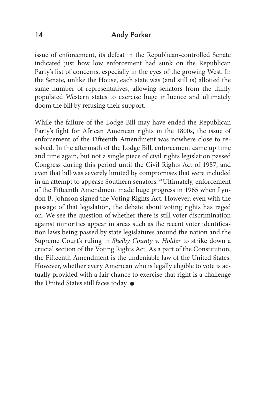issue of enforcement, its defeat in the Republican-controlled Senate indicated just how low enforcement had sunk on the Republican Party's list of concerns, especially in the eyes of the growing West. In the Senate, unlike the House, each state was (and still is) allotted the same number of representatives, allowing senators from the thinly populated Western states to exercise huge influence and ultimately doom the bill by refusing their support.

While the failure of the Lodge Bill may have ended the Republican Party's fight for African American rights in the 1800s, the issue of enforcement of the Fifteenth Amendment was nowhere close to resolved. In the aftermath of the Lodge Bill, enforcement came up time and time again, but not a single piece of civil rights legislation passed Congress during this period until the Civil Rights Act of 1957, and even that bill was severely limited by compromises that were included in an attempt to appease Southern senators.<sup>30</sup> Ultimately, enforcement of the Fifteenth Amendment made huge progress in 1965 when Lyndon B. Johnson signed the Voting Rights Act. However, even with the passage of that legislation, the debate about voting rights has raged on. We see the question of whether there is still voter discrimination against minorities appear in areas such as the recent voter identification laws being passed by state legislatures around the nation and the Supreme Court's ruling in *Shelby County v. Holder* to strike down a crucial section of the Voting Rights Act. As a part of the Constitution, the Fifteenth Amendment is the undeniable law of the United States. However, whether every American who is legally eligible to vote is actually provided with a fair chance to exercise that right is a challenge the United States still faces today.  $\bullet$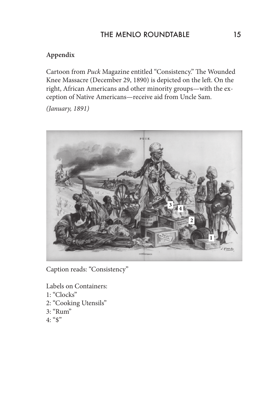# THE MENLO ROUNDTABLE 15

### **Appendix**

Cartoon from *Puck* Magazine entitled "Consistency." The Wounded Knee Massacre (December 29, 1890) is depicted on the left. On the right, African Americans and other minority groups—with the exception of Native Americans—receive aid from Uncle Sam.

*(January, 1891)*



Caption reads: "Consistency"

Labels on Containers: 1: "Clocks" 2: "Cooking Utensils"

- 
- 3: "Rum"
- $4:$  "\$"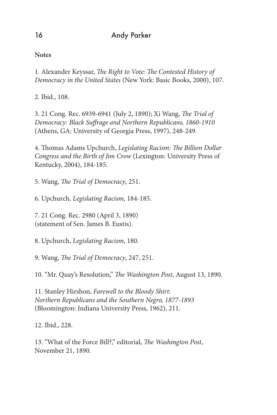**Notes**

1. Alexander Keyssar, *The Right to Vote: The Contested History of Democracy in the United States* (New York: Basic Books, 2000), 107.

2. Ibid., 108.

3. 21 Cong. Rec. 6939-6941 (July 2, 1890); Xi Wang, *The Trial of Democracy: Black Suffrage and Northern Republicans, 1860-1910* (Athens, GA: University of Georgia Press, 1997), 248-249.

4. Thomas Adams Upchurch, *Legislating Racism: The Billion Dollar Congress and the Birth of Jim Crow* (Lexington: University Press of Kentucky, 2004), 184-185.

5. Wang, *The Trial of Democracy*, 251.

6. Upchurch, *Legislating Racism*, 184-185.

7. 21 Cong. Rec. 2980 (April 3, 1890) (statement of Sen. James B. Eustis).

8. Upchurch, *Legislating Racism*, 180.

9. Wang, *The Trial of Democracy*, 247, 251.

10. "Mr. Quay's Resolution," *The Washington Post*, August 13, 1890.

11. Stanley Hirshon, *Farewell to the Bloody Shirt: Northern Republicans and the Southern Negro, 1877-1893* (Bloomington: Indiana University Press, 1962), 211.

12. Ibid., 228.

13. "What of the Force Bill?," editorial, *The Washington Post*, November 21, 1890.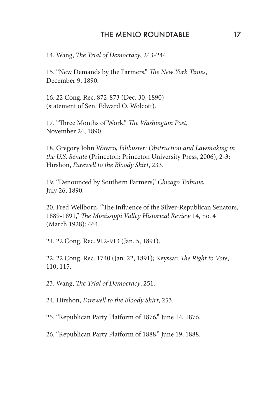#### THE MENLO ROUNDTABLE 17

14. Wang, *The Trial of Democracy*, 243-244.

15. "New Demands by the Farmers," *The New York Times*, December 9, 1890.

16. 22 Cong. Rec. 872-873 (Dec. 30, 1890) (statement of Sen. Edward O. Wolcott).

17. "Three Months of Work," *The Washington Post*, November 24, 1890.

18. Gregory John Wawro, *Filibuster: Obstruction and Lawmaking in the U.S. Senate* (Princeton: Princeton University Press, 2006), 2-3; Hirshon, *Farewell to the Bloody Shirt*, 233.

19. "Denounced by Southern Farmers," *Chicago Tribune*, July 26, 1890.

20. Fred Wellborn, "The Influence of the Silver-Republican Senators, 1889-1891," *The Mississippi Valley Historical Review* 14, no. 4 (March 1928): 464.

21. 22 Cong. Rec. 912-913 (Jan. 5, 1891).

22. 22 Cong. Rec. 1740 (Jan. 22, 1891); Keyssar, *The Right to Vote*, 110, 115.

23. Wang, *The Trial of Democracy*, 251.

24. Hirshon, *Farewell to the Bloody Shirt*, 253.

25. "Republican Party Platform of 1876," June 14, 1876.

26. "Republican Party Platform of 1888," June 19, 1888.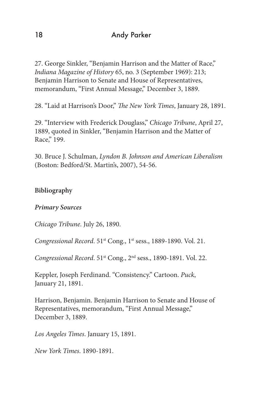27. George Sinkler, "Benjamin Harrison and the Matter of Race," *Indiana Magazine of History* 65, no. 3 (September 1969): 213; Benjamin Harrison to Senate and House of Representatives, memorandum, "First Annual Message," December 3, 1889.

28. "Laid at Harrison's Door," *The New York Times*, January 28, 1891.

29. "Interview with Frederick Douglass," *Chicago Tribune*, April 27, 1889, quoted in Sinkler, "Benjamin Harrison and the Matter of Race," 199.

30. Bruce J. Schulman, *Lyndon B. Johnson and American Liberalism* (Boston: Bedford/St. Martin's, 2007), 54-56.

# **Bibliography**

### *Primary Sources*

*Chicago Tribune*. July 26, 1890.

*Congressional Record*. 51st Cong., 1st sess., 1889-1890. Vol. 21.

*Congressional Record*. 51st Cong., 2nd sess., 1890-1891. Vol. 22.

Keppler, Joseph Ferdinand. "Consistency." Cartoon. *Puck*, January 21, 1891.

Harrison, Benjamin. Benjamin Harrison to Senate and House of Representatives, memorandum, "First Annual Message," December 3, 1889.

*Los Angeles Times*. January 15, 1891.

*New York Times*. 1890-1891.